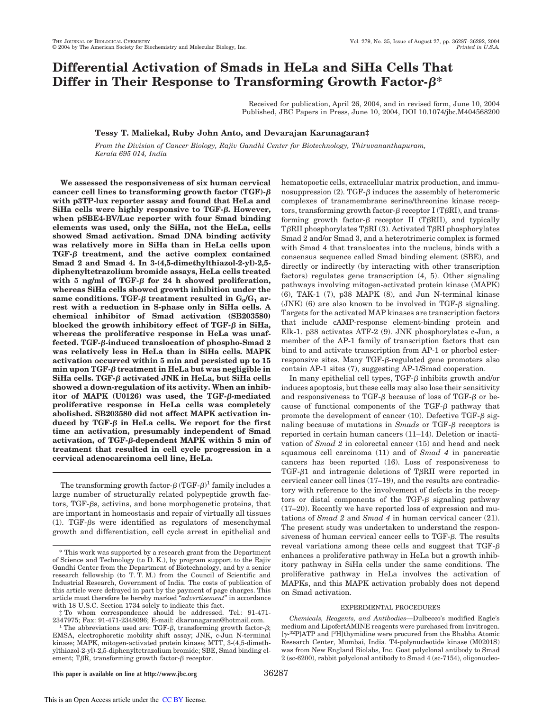# **Differential Activation of Smads in HeLa and SiHa Cells That Differ in Their Response to Transforming Growth Factor-** $\beta^*$

Received for publication, April 26, 2004, and in revised form, June 10, 2004 Published, JBC Papers in Press, June 10, 2004, DOI 10.1074/jbc.M404568200

## **Tessy T. Maliekal, Ruby John Anto, and Devarajan Karunagaran‡**

*From the Division of Cancer Biology, Rajiv Gandhi Center for Biotechnology, Thiruvananthapuram, Kerala 695 014, India*

**We assessed the responsiveness of six human cervical cancer cell lines to transforming growth factor (TGF) with p3TP-lux reporter assay and found that HeLa and SiHa cells were highly responsive to TGF-. However, when pSBE4-BV/Luc reporter with four Smad binding elements was used, only the SiHa, not the HeLa, cells showed Smad activation. Smad DNA binding activity was relatively more in SiHa than in HeLa cells upon TGF- treatment, and the active complex contained Smad 2 and Smad 4. In 3-(4,5-dimethylthiazol-2-yl)-2,5 diphenyltetrazolium bromide assays, HeLa cells treated** with 5 ng/ml of TGF- $\beta$  for 24 h showed proliferation, **whereas SiHa cells showed growth inhibition under the**  $\textrm{same conditions. TGF-}\beta$  treatment resulted in  $\mathrm{G_{0}/G_{1}}$  ar**rest with a reduction in S-phase only in SiHa cells. A chemical inhibitor of Smad activation (SB203580)** blocked the growth inhibitory effect of  $TGF-\beta$  in SiHa, **whereas the proliferative response in HeLa was unaffected. TGF--induced translocation of phospho-Smad 2 was relatively less in HeLa than in SiHa cells. MAPK activation occurred within 5 min and persisted up to 15 min upon TGF- treatment in HeLa but was negligible in** SiHa cells. TGF- $\beta$  activated JNK in HeLa, but SiHa cells **showed a down-regulation of its activity. When an inhibitor of MAPK (U0126) was used, the TGF--mediated proliferative response in HeLa cells was completely abolished. SB203580 did not affect MAPK activation in**duced by TGF- $\beta$  in HeLa cells. We report for the first **time an activation, presumably independent of Smad activation, of TGF--dependent MAPK within 5 min of treatment that resulted in cell cycle progression in a cervical adenocarcinoma cell line, HeLa.**

The transforming growth factor- $\beta$  (TGF- $\beta$ )<sup>1</sup> family includes a large number of structurally related polypeptide growth factors,  $TGF- $\beta$ s, activations, and bone morphogenic proteins, that$ are important in homeostasis and repair of virtually all tissues (1). TGF- $\beta$ s were identified as regulators of mesenchymal growth and differentiation, cell cycle arrest in epithelial and hematopoetic cells, extracellular matrix production, and immunosuppression (2). TGF- $\beta$  induces the assembly of heteromeric complexes of transmembrane serine/threonine kinase receptors, transforming growth factor- $\beta$  receptor I (T $\beta$ RI), and transforming growth factor- $\beta$  receptor II (T $\beta$ RII), and typically T $\beta$ RII phosphorylates T $\beta$ RI (3). Activated T $\beta$ RI phosphorylates Smad 2 and/or Smad 3, and a heterotrimeric complex is formed with Smad 4 that translocates into the nucleus, binds with a consensus sequence called Smad binding element (SBE), and directly or indirectly (by interacting with other transcription factors) regulates gene transcription (4, 5). Other signaling pathways involving mitogen-activated protein kinase (MAPK) (6), TAK-1 (7), p38 MAPK (8), and Jun N-terminal kinase (JNK) (6) are also known to be involved in TGF- $\beta$  signaling. Targets for the activated MAP kinases are transcription factors that include cAMP-response element-binding protein and Elk-1. p38 activates ATF-2 (9). JNK phosphorylates c-Jun, a member of the AP-1 family of transcription factors that can bind to and activate transcription from AP-1 or phorbol ester $r$ esponsive sites. Many TGF- $\beta$ -regulated gene promoters also contain AP-1 sites (7), suggesting AP-1/Smad cooperation.

In many epithelial cell types, TGF- $\beta$  inhibits growth and/or induces apoptosis, but these cells may also lose their sensitivity and responsiveness to TGF- $\beta$  because of loss of TGF- $\beta$  or because of functional components of the  $TGF- $\beta$  pathway that$ promote the development of cancer (10). Defective TGF- $\beta$  signaling because of mutations in  $Smads$  or TGF- $\beta$  receptors is reported in certain human cancers (11–14). Deletion or inactivation of *Smad 2* in colorectal cancer (15) and head and neck squamous cell carcinoma (11) and of *Smad 4* in pancreatic cancers has been reported (16). Loss of responsiveness to TGF- $\beta$ 1 and intragenic deletions of T $\beta$ RII were reported in cervical cancer cell lines (17–19), and the results are contradictory with reference to the involvement of defects in the receptors or distal components of the TGF- $\beta$  signaling pathway (17–20). Recently we have reported loss of expression and mutations of *Smad 2* and *Smad 4* in human cervical cancer (21). The present study was undertaken to understand the responsiveness of human cervical cancer cells to TGF- $\beta$ . The results reveal variations among these cells and suggest that TGF- $\beta$ enhances a proliferative pathway in HeLa but a growth inhibitory pathway in SiHa cells under the same conditions. The proliferative pathway in HeLa involves the activation of MAPKs, and this MAPK activation probably does not depend on Smad activation.

### EXPERIMENTAL PROCEDURES

*Chemicals, Reagents, and Antibodies—*Dulbecco's modified Eagle's medium and LipofectAMINE reagents were purchased from Invitrogen. [ $\gamma$ <sup>-32</sup>P]ATP and [<sup>3</sup>H]thymidine were procured from the Bhabha Atomic Research Center, Mumbai, India. T4-polynucleotide kinase (M0201S) was from New England Biolabs, Inc. Goat polyclonal antibody to Smad 2 (sc-6200), rabbit polyclonal antibody to Smad 4 (sc-7154), oligonucleo-

<sup>\*</sup> This work was supported by a research grant from the Department of Science and Technology (to D. K.), by program support to the Rajiv Gandhi Center from the Department of Biotechnology, and by a senior research fellowship (to T. T. M.) from the Council of Scientific and Industrial Research, Government of India. The costs of publication of this article were defrayed in part by the payment of page charges. This article must therefore be hereby marked "*advertisement*" in accordance with 18 U.S.C. Section 1734 solely to indicate this fact.

<sup>‡</sup> To whom correspondence should be addressed. Tel.: 91-471- 2347975; Fax: 91-471-2348096; E-mail: dkarunagaran@hotmail.com.

<sup>&</sup>lt;sup>1</sup> The abbreviations used are: TGF- $\beta$ , transforming growth factor- $\beta$ ; EMSA, electrophoretic mobility shift assay; JNK, c-Jun N-terminal kinase; MAPK, mitogen-activated protein kinase; MTT, 3-(4,5-dimethylthiazol-2-yl)-2,5-diphenyltetrazolium bromide; SBE, Smad binding element; T $\beta$ R, transforming growth factor- $\beta$  receptor.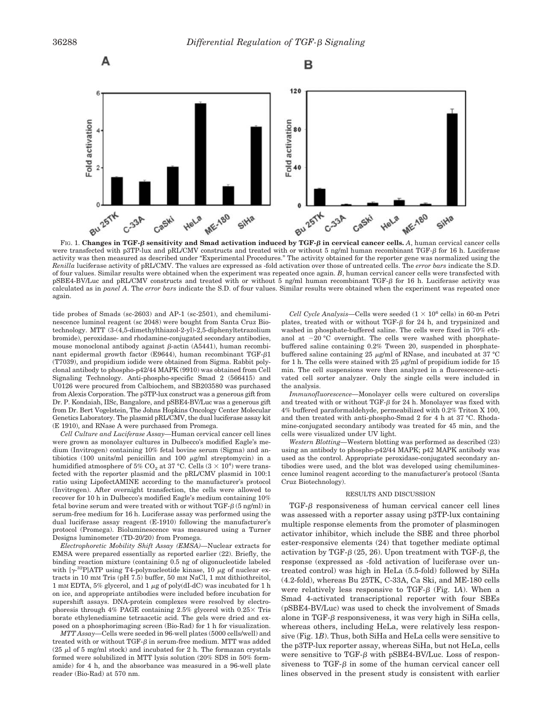

were transfected with p3TP-lux and pRL/CMV constructs and treated with or without 5 ng/ml human recombinant TGF- $\beta$  for 16 h. Luciferase activity was then measured as described under "Experimental Procedures." The activity obtained for the reporter gene was normalized using the *Renilla* luciferase activity of pRL/CMV. The values are expressed as -fold activation over those of untreated cells. The *error bars* indicate the S.D. of four values. Similar results were obtained when the experiment was repeated once again. *B*, human cervical cancer cells were transfected with pSBE4-BV/Luc and pRL/CMV constructs and treated with or without 5 ng/ml human recombinant TGF- $\beta$  for 16 h. Luciferase activity was calculated as in *panel A*. The *error bars* indicate the S.D. of four values. Similar results were obtained when the experiment was repeated once again.

tide probes of Smads (sc-2603) and AP-1 (sc-2501), and chemiluminescence luminol reagent (sc 2048) were bought from Santa Cruz Biotechnology. MTT (3-(4,5-dimethylthiazol-2-yl)-2,5-diphenyltetrazolium bromide), peroxidase- and rhodamine-conjugated secondary antibodies, mouse monoclonal antibody against  $\beta$ -actin (A5441), human recombinant epidermal growth factor (E9644), human recombinant TGF- $\beta$ 1 (T7039), and propidium iodide were obtained from Sigma. Rabbit polyclonal antibody to phospho-p42/44 MAPK (9910) was obtained from Cell Signaling Technology. Anti-phospho-specific Smad 2 (566415) and U0126 were procured from Calbiochem, and SB203580 was purchased from Alexis Corporation. The p3TP-lux construct was a generous gift from Dr. P. Kondaiah, IISc, Bangalore, and pSBE4-BV/Luc was a generous gift from Dr. Bert Vogelstein, The Johns Hopkins Oncology Center Molecular Genetics Laboratory. The plasmid pRL/CMV, the dual luciferase assay kit (E 1910), and RNase A were purchased from Promega.

*Cell Culture and Luciferase Assay—*Human cervical cancer cell lines were grown as monolayer cultures in Dulbecco's modified Eagle's medium (Invitrogen) containing 10% fetal bovine serum (Sigma) and antibiotics (100 units/ml penicillin and 100  $\mu$ g/ml streptomycin) in a humidified atmosphere of 5%  $\mathrm{CO}_2$  at 37 °C. Cells (3  $\times$  10<sup>4</sup>) were transfected with the reporter plasmid and the pRL/CMV plasmid in 100:1 ratio using LipofectAMINE according to the manufacturer's protocol (Invitrogen). After overnight transfection, the cells were allowed to recover for 10 h in Dulbecco's modified Eagle's medium containing 10% fetal bovine serum and were treated with or without TGF- $\beta$  (5 ng/ml) in serum-free medium for 16 h. Luciferase assay was performed using the dual luciferase assay reagent (E-1910) following the manufacturer's protocol (Promega). Bioluminescence was measured using a Turner Designs luminometer (TD-20/20) from Promega.

*Electrophoretic Mobility Shift Assay (EMSA)—*Nuclear extracts for EMSA were prepared essentially as reported earlier (22). Briefly, the binding reaction mixture (containing 0.5 ng of oligonucleotide labeled with  $[\gamma^{32}P]$ ATP using T4-polynucleotide kinase, 10  $\mu$ g of nuclear extracts in 10 mM Tris (pH 7.5) buffer, 50 mM NaCl, 1 mM dithiothreitol, 1 mM EDTA, 5% glycerol, and 1  $\mu$ g of poly(dI-dC) was incubated for 1 h on ice, and appropriate antibodies were included before incubation for supershift assays. DNA-protein complexes were resolved by electrophoresis through 4% PAGE containing 2.5% glycerol with  $0.25 \times$  Tris borate ethylenediamine tetraacetic acid. The gels were dried and exposed on a phosphorimaging screen (Bio-Rad) for 1 h for visualization.

*MTT Assay—*Cells were seeded in 96-well plates (5000 cells/well) and treated with or without TGF- $\beta$  in serum-free medium. MTT was added (25  $\mu$ l of 5 mg/ml stock) and incubated for 2 h. The formazan crystals formed were solubilized in MTT lysis solution (20% SDS in 50% formamide) for 4 h, and the absorbance was measured in a 96-well plate reader (Bio-Rad) at 570 nm.

*Cell Cycle Analysis*—Cells were seeded  $(1 \times 10^6 \text{ cells})$  in 60-m Petri plates, treated with or without TGF- $\beta$  for 24 h, and trypsinized and washed in phosphate-buffered saline. The cells were fixed in 70% ethanol at  $-20$  °C overnight. The cells were washed with phosphatebuffered saline containing 0.2% Tween 20, suspended in phosphatebuffered saline containing 25  $\mu$ g/ml of RNase, and incubated at 37 °C for 1 h. The cells were stained with 25  $\mu$ g/ml of propidium iodide for 15 min. The cell suspensions were then analyzed in a fluorescence-activated cell sorter analyzer. Only the single cells were included in the analysis.

*Immunofluorescence—*Monolayer cells were cultured on coverslips and treated with or without TGF- $\beta$  for 24 h. Monolayer was fixed with 4% buffered paraformaldehyde, permeabilized with 0.2% Triton X 100, and then treated with anti-phospho-Smad 2 for 4 h at 37 °C. Rhodamine-conjugated secondary antibody was treated for 45 min, and the cells were visualized under UV light.

*Western Blotting—*Western blotting was performed as described (23) using an antibody to phospho-p42/44 MAPK; p42 MAPK antibody was used as the control. Appropriate peroxidase-conjugated secondary antibodies were used, and the blot was developed using chemiluminescence luminol reagent according to the manufacturer's protocol (Santa Cruz Biotechnology).

#### RESULTS AND DISCUSSION

 $TGF- $\beta$  responses of human cervical cancer cell lines$ was assessed with a reporter assay using p3TP-lux containing multiple response elements from the promoter of plasminogen activator inhibitor, which include the SBE and three phorbol ester-responsive elements (24) that together mediate optimal activation by TGF- $\beta$  (25, 26). Upon treatment with TGF- $\beta$ , the response (expressed as -fold activation of luciferase over untreated control) was high in HeLa (5.5-fold) followed by SiHa (4.2-fold), whereas Bu 25TK, C-33A, Ca Ski, and ME-180 cells were relatively less responsive to  $TGF- $\beta$  (Fig. 1A). When a$ Smad 4-activated transcriptional reporter with four SBEs (pSBE4-BV/Luc) was used to check the involvement of Smads alone in TGF- $\beta$  responsiveness, it was very high in SiHa cells, whereas others, including HeLa, were relatively less responsive (Fig. 1*B*). Thus, both SiHa and HeLa cells were sensitive to the p3TP-lux reporter assay, whereas SiHa, but not HeLa, cells were sensitive to  $TGF- $\beta$  with pSBE4-BV/Luc. Loss of respon$ siveness to  $TGF- $\beta$  in some of the human cervical cancer cell$ lines observed in the present study is consistent with earlier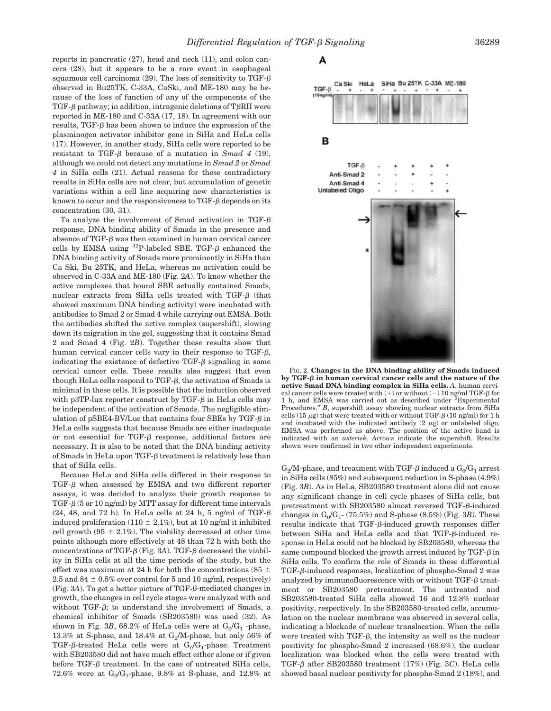reports in pancreatic (27), head and neck (11), and colon cancers (28), but it appears to be a rare event in esophageal squamous cell carcinoma (29). The loss of sensitivity to TGF- $\beta$ observed in Bu25TK, C-33A, CaSki, and ME-180 may be because of the loss of function of any of the components of the TGF- $\beta$  pathway; in addition, intragenic deletions of T $\beta$ RII were reported in ME-180 and C-33A (17, 18). In agreement with our results,  $TGF-\beta$  has been shown to induce the expression of the plasminogen activator inhibitor gene in SiHa and HeLa cells (17). However, in another study, SiHa cells were reported to be resistant to TGF- $\beta$  because of a mutation in *Smad 4* (19), although we could not detect any mutations in *Smad 2* or *Smad 4* in SiHa cells (21). Actual reasons for these contradictory results in SiHa cells are not clear, but accumulation of genetic variations within a cell line acquiring new characteristics is known to occur and the responsiveness to  $TGF- $\beta$  depends on its$ concentration (30, 31).

To analyze the involvement of Smad activation in TGF- $\beta$ response, DNA binding ability of Smads in the presence and absence of TGF- $\beta$  was then examined in human cervical cancer cells by EMSA using  $^{32}P$ -labeled SBE. TGF- $\beta$  enhanced the DNA binding activity of Smads more prominently in SiHa than Ca Ski, Bu 25TK, and HeLa, whereas no activation could be observed in C-33A and ME-180 (Fig. 2*A*). To know whether the active complexes that bound SBE actually contained Smads, nuclear extracts from SiHa cells treated with  $TGF- $\beta$  (that$ showed maximum DNA binding activity) were incubated with antibodies to Smad 2 or Smad 4 while carrying out EMSA. Both the antibodies shifted the active complex (supershift), slowing down its migration in the gel, suggesting that it contains Smad 2 and Smad 4 (Fig. 2*B*). Together these results show that human cervical cancer cells vary in their response to  $TGF- $\beta$ ,$ indicating the existence of defective  $TGF- $\beta$  signaling in some$ cervical cancer cells. These results also suggest that even though HeLa cells respond to  $TGF- $\beta$ , the activation of Smads is$ minimal in these cells. It is possible that the induction observed with p3TP-lux reporter construct by TGF- $\beta$  in HeLa cells may be independent of the activation of Smads. The negligible stimulation of  $pSBE4-BV/Luc$  that contains four SBEs by TGF- $\beta$  in HeLa cells suggests that because Smads are either inadequate or not essential for TGF- $\beta$  response, additional factors are necessary. It is also to be noted that the DNA binding activity of Smads in HeLa upon TGF- $\beta$  treatment is relatively less than that of SiHa cells.

Because HeLa and SiHa cells differed in their response to TGF- $\beta$  when assessed by EMSA and two different reporter assays, it was decided to analyze their growth response to TGF- $\beta$  (5 or 10 ng/ml) by MTT assay for different time intervals  $(24, 48,$  and  $72$  h). In HeLa cells at  $24$  h, 5 ng/ml of TGF- $\beta$ induced proliferation (110  $\pm$  2.1%), but at 10 ng/ml it inhibited cell growth (95  $\pm$  2.1%). The viability decreased at other time points although more effectively at 48 than 72 h with both the concentrations of TGF- $\beta$  (Fig. 3A). TGF- $\beta$  decreased the viability in SiHa cells at all the time periods of the study, but the effect was maximum at 24 h for both the concentrations (85  $\pm$ 2.5 and 84  $\pm$  0.5% over control for 5 and 10 ng/ml, respectively) (Fig. 3A). To get a better picture of  $TGF- $\beta$ -mediated changes in$ growth, the changes in cell cycle stages were analyzed with and without TGF- $\beta$ ; to understand the involvement of Smads, a chemical inhibitor of Smads (SB203580) was used (32). As shown in Fig. 3*B*, 68.2% of HeLa cells were at  $G_0/G_1$  -phase, 13.3% at S-phase, and 18.4% at  $G_2/M$ -phase, but only 56% of TGF-β-treated HeLa cells were at  $\mathrm{G_{0}/G_{1}}$ -phase. Treatment with SB203580 did not have much effect either alone or if given before TGF- $\beta$  treatment. In the case of untreated SiHa cells,  $72.6\%$  were at  $G_0/G_1$ -phase,  $9.8\%$  at S-phase, and  $12.8\%$  at

A



FIG. 2. **Changes in the DNA binding ability of Smads induced** by TGF- $\beta$  in human cervical cancer cells and the nature of the **active Smad DNA binding complex in SiHa cells.** *A*, human cervical cancer cells were treated with  $(+)$  or without  $(-)$  10 ng/ml TGF- $\beta$  for 1 h, and EMSA was carried out as described under "Experimental Procedures." *B*, supershift assay showing nuclear extracts from SiHa cells (15  $\mu$ g) that were treated with or without TGF- $\beta$  (10 ng/ml) for 1 h and incubated with the indicated antibody  $(2 \mu g)$  or unlabeled oligo. EMSA was performed as above. The position of the active band is indicated with an *asterisk*. *Arrows* indicate the supershift. Results shown were confirmed in two other independent experiments.

 $\mathrm{G}_2\!/\mathrm{M}\textrm{-}$ phase, and treatment with TGF- $\beta$  induced a  $\mathrm{G}_0\!/\mathrm{G}_1$  arrest in SiHa cells (85%) and subsequent reduction in S-phase (4.9%) (Fig. 3*B*). As in HeLa, SB203580 treatment alone did not cause any significant change in cell cycle phases of SiHa cells, but pretreatment with SB203580 almost reversed TGF-6-induced changes in  $G_0/G_1$ - (75.5%) and S-phase (8.5%) (Fig. 3*B*). These results indicate that  $TGF-\beta$ -induced growth responses differ between SiHa and HeLa cells and that TGF- $\beta$ -induced response in HeLa could not be blocked by SB203580, whereas the same compound blocked the growth arrest induced by TGF- $\beta$  in SiHa cells. To confirm the role of Smads in these differential TGF-6-induced responses, localization of phospho-Smad 2 was analyzed by immunofluorescence with or without  $TGF- $\beta$  treat$ ment or SB203580 pretreatment. The untreated and SB203580-treated SiHa cells showed 16 and 12.8% nuclear positivity, respectively. In the SB203580-treated cells, accumulation on the nuclear membrane was observed in several cells, indicating a blockade of nuclear translocation. When the cells were treated with  $TGF- $\beta$ , the intensity as well as the nuclear$ positivity for phospho-Smad 2 increased (68.6%); the nuclear localization was blocked when the cells were treated with TGF- $\beta$  after SB203580 treatment (17%) (Fig. 3C). HeLa cells showed basal nuclear positivity for phospho-Smad 2 (18%), and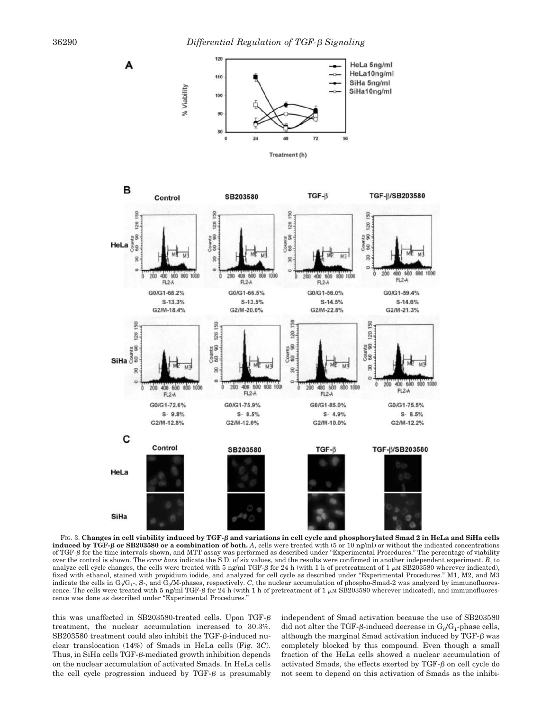

FIG. 3. **Changes in cell viability induced by TGF- and variations in cell cycle and phosphorylated Smad 2 in HeLa and SiHa cells induced by TGF- or SB203580 or a combination of both.** *A*, cells were treated with (5 or 10 ng/ml) or without the indicated concentrations of TGF- $\beta$  for the time intervals shown, and MTT assay was performed as described under "Experimental Procedures." The percentage of viability over the control is shown. The *error bars* indicate the S.D. of six values, and the results were confirmed in another independent experiment. *B*, to analyze cell cycle changes, the cells were treated with 5 ng/ml TGF- $\beta$  for 24 h (with 1 h of pretreatment of 1  $\mu$ M SB203580 wherever indicated), fixed with ethanol, stained with propidium iodide, and analyzed for cell cycle as described under "Experimental Procedures." M1, M2, and M3 indicate the cells in G<sub>0</sub>/G<sub>1</sub>-, S-, and G<sub>2</sub>/M-phases, respectively. *C*, the nuclear accumulation of phospho-Smad-2 was analyzed by immunofluorescence. The cells were treated with 5 ng/ml TGF- $\beta$  for 24 h (with 1 h of pretreatment of 1  $\mu$ M SB203580 wherever indicated), and immunofluorescence was done as described under "Experimental Procedures."

this was unaffected in SB203580-treated cells. Upon TGF treatment, the nuclear accumulation increased to 30.3%.  $SB203580$  treatment could also inhibit the TGF- $\beta$ -induced nuclear translocation (14%) of Smads in HeLa cells (Fig. 3*C*). Thus, in SiHa cells  $TGF- $\beta$ -mediated growth inhibition depends$ on the nuclear accumulation of activated Smads. In HeLa cells the cell cycle progression induced by  $TGF- $\beta$  is presumably$ 

independent of Smad activation because the use of SB203580 did not alter the TGF- $\beta$ -induced decrease in G<sub>0</sub>/G<sub>1</sub>-phase cells, although the marginal Smad activation induced by  $TGF- $\beta$  was$ completely blocked by this compound. Even though a small fraction of the HeLa cells showed a nuclear accumulation of activated Smads, the effects exerted by  $TGF- $\beta$  on cell cycle do$ not seem to depend on this activation of Smads as the inhibi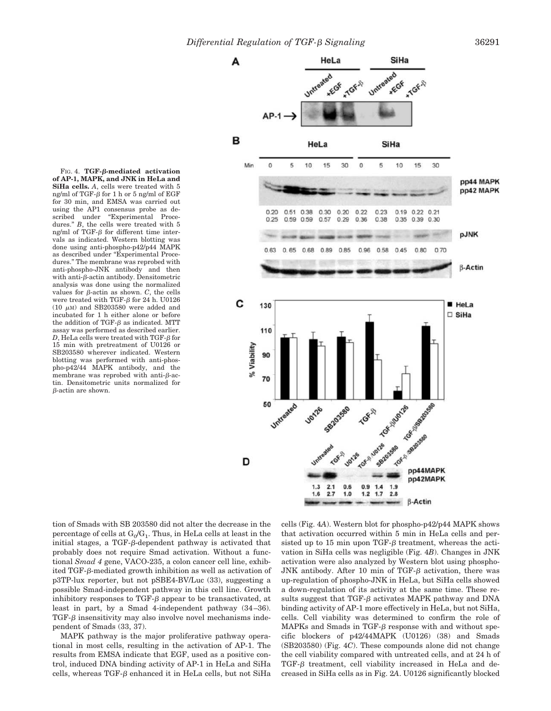*Differential Regulation of TGF- Signaling* 36291



**of AP-1, MAPK, and JNK in HeLa and SiHa cells.** *A*, cells were treated with 5 ng/ml of TGF- $\beta$  for 1 h or 5 ng/ml of EGF for 30 min, and EMSA was carried out using the AP1 consensus probe as described under "Experimental Proce-"Experimental Procedures." *B*, the cells were treated with 5 ng/ml of TGF- $\beta$  for different time intervals as indicated. Western blotting was done using anti-phospho-p42/p44 MAPK as described under "Experimental Procedures." The membrane was reprobed with anti-phospho-JNK antibody and then with anti- $\beta$ -actin antibody. Densitometric analysis was done using the normalized values for  $\beta$ -actin as shown. *C*, the cells were treated with TGF- $\beta$  for 24 h. U0126 (10  $\mu$ M) and SB203580 were added and incubated for 1 h either alone or before the addition of TGF- $\beta$  as indicated. MTT assay was performed as described earlier.  $D$ , HeLa cells were treated with TGF- $\beta$  for 15 min with pretreatment of U0126 or SB203580 wherever indicated. Western blotting was performed with anti-phospho-p42/44 MAPK antibody, and the membrane was reprobed with anti- $\beta$ -actin. Densitometric units normalized for  $\beta$ -actin are shown.

FIG. 4. **TGF--mediated activation**

tion of Smads with SB 203580 did not alter the decrease in the percentage of cells at  $\mathrm{G}_0/\mathrm{G}_1$ . Thus, in HeLa cells at least in the initial stages, a TGF- $\beta$ -dependent pathway is activated that probably does not require Smad activation. Without a functional *Smad 4* gene, VACO-235, a colon cancer cell line, exhibited TGF-6-mediated growth inhibition as well as activation of p3TP-lux reporter, but not pSBE4-BV/Luc (33), suggesting a possible Smad-independent pathway in this cell line. Growth inhibitory responses to  $TGF- $\beta$  appear to be transactivated, at$ least in part, by a Smad 4-independent pathway (34–36).  $TGF- $\beta$  insensitivity may also involve novel mechanisms inde$ pendent of Smads (33, 37).

MAPK pathway is the major proliferative pathway operational in most cells, resulting in the activation of AP-1. The results from EMSA indicate that EGF, used as a positive control, induced DNA binding activity of AP-1 in HeLa and SiHa cells, whereas TGF-6 enhanced it in HeLa cells, but not SiHa

cells (Fig. 4*A*). Western blot for phospho-p42/p44 MAPK shows that activation occurred within 5 min in HeLa cells and persisted up to 15 min upon TGF- $\beta$  treatment, whereas the activation in SiHa cells was negligible (Fig. 4*B*). Changes in JNK activation were also analyzed by Western blot using phospho-JNK antibody. After 10 min of TGF- $\beta$  activation, there was up-regulation of phospho-JNK in HeLa, but SiHa cells showed a down-regulation of its activity at the same time. These results suggest that  $TGF- $\beta$  activates MAPK pathway and DNA$ binding activity of AP-1 more effectively in HeLa, but not SiHa, cells. Cell viability was determined to confirm the role of MAPKs and Smads in TGF- $\beta$  response with and without specific blockers of p42/44MAPK (U0126) (38) and Smads (SB203580) (Fig. 4*C*). These compounds alone did not change the cell viability compared with untreated cells, and at 24 h of TGF- $\beta$  treatment, cell viability increased in HeLa and decreased in SiHa cells as in Fig. 2*A*. U0126 significantly blocked